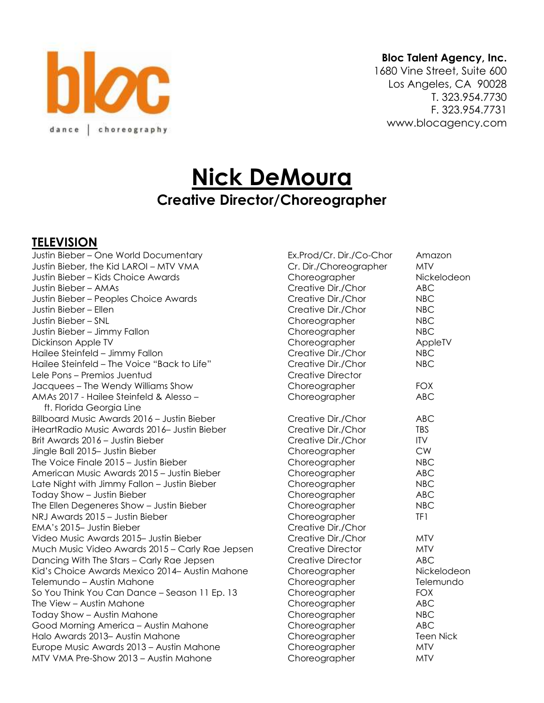

#### **Bloc Talent Agency, Inc.**

1680 Vine Street, Suite 600 Los Angeles, CA 90028 T. 323.954.7730 F. 323.954.7731 www.blocagency.com

# **Nick DeMoura Creative Director/Choreographer**

#### **TELEVISION**

Justin Bieber – One World Documentary Ex.Prod/Cr. Dir./Co-Chor Amazon Justin Bieber, the Kid LAROI – MTV VMA Justin Bieber – Kids Choice Awards Choreographer Nickelodeon Justin Bieber – AMAs Justin Bieber – Peoples Choice Awards Justin Bieber – Ellen Justin Bieber – SNL Justin Bieber – Jimmy Fallon Dickinson Apple TV Choreographer AppleTV Hailee Steinfeld – Jimmy Fallon Hailee Steinfeld – The Voice "Back to Life" Lele Pons – Premios Juentud Jacquees – The Wendy Williams Show AMAs 2017 - Hailee Steinfeld & Alesso ft. Florida Georgia Line Billboard Music Awards 2016 – Justin Bieber iHeartRadio Music Awards 2016- Justin Bieber Brit Awards 2016 – Justin Bieber Jingle Ball 2015– Justin Bieber The Voice Finale  $2015 -$  Justin Bieber American Music Awards 2015 – Justin Bieber Late Night with Jimmy Fallon – Justin Bieber Today Show – Justin Bieber The Ellen Degeneres Show - Justin Bieber NRJ Awards 2015 – Justin Bieber EMA's 2015– Justin Bieber Video Music Awards 2015– Justin Bieber Much Music Video Awards 2015 – Carly Rae Jepsen Dancing With The Stars – Carly Rae Jepsen Kid's Choice Awards Mexico 2014– Austin Mahone Choreographer Nickelodeon Telemundo – Austin Mahone Choreographer Choreographer Telemundo So You Think You Can Dance – Season 11 Ep. 13 The View – Austin Mahone Today Show – Austin Mahone Good Morning America – Austin Mahone Halo Awards 2013– Austin Mahone Choreographer Teen Nick Europe Music Awards 2013 – Austin Mahone  $MTV$  VMA Pre-Show 2013 – Austin Mahone

| EX.Prod/Ur. DIr./U0-Unor | Amazoi     |
|--------------------------|------------|
| Cr. Dir./Choreographer   | <b>MTV</b> |
| Choreographer            | Nickelo    |
| Creative Dir./Chor       | <b>ABC</b> |
| Creative Dir./Chor       | <b>NBC</b> |
| Creative Dir./Chor       | <b>NBC</b> |
| Choreographer            | <b>NBC</b> |
| Choreographer            | <b>NBC</b> |
| Choreographer            | AppleT     |
| Creative Dir./Chor       | <b>NBC</b> |
| Creative Dir./Chor       | <b>NBC</b> |
| <b>Creative Director</b> |            |
| Choreographer            | <b>FOX</b> |
| Choreographer            | <b>ABC</b> |
| Creative Dir./Chor       | ABC        |
| Creative Dir./Chor       | <b>TBS</b> |
| Creative Dir./Chor       | <b>ITV</b> |
| Choreographer            | <b>CW</b>  |
| Choreographer            | <b>NBC</b> |
| Choreographer            | ABC        |
| Choreographer            | <b>NBC</b> |
| Choreographer            | ABC        |
| Choreographer            | <b>NBC</b> |
| Choreographer            | TF1        |
| Creative Dir./Chor       |            |
| Creative Dir./Chor       | <b>MTV</b> |
| <b>Creative Director</b> | <b>MTV</b> |
| <b>Creative Director</b> | <b>ABC</b> |
| Choreographer            | Nickelo    |
| Choreographer            | Telemu     |
| Choreographer            | <b>FOX</b> |
| Choreographer            | <b>ABC</b> |
| Choreographer            | <b>NBC</b> |
| Choreographer            | <b>ABC</b> |
| Choreographer            | Teen Ni    |
| Choreographer            | <b>MTV</b> |
| Choreographer            | <b>MTV</b> |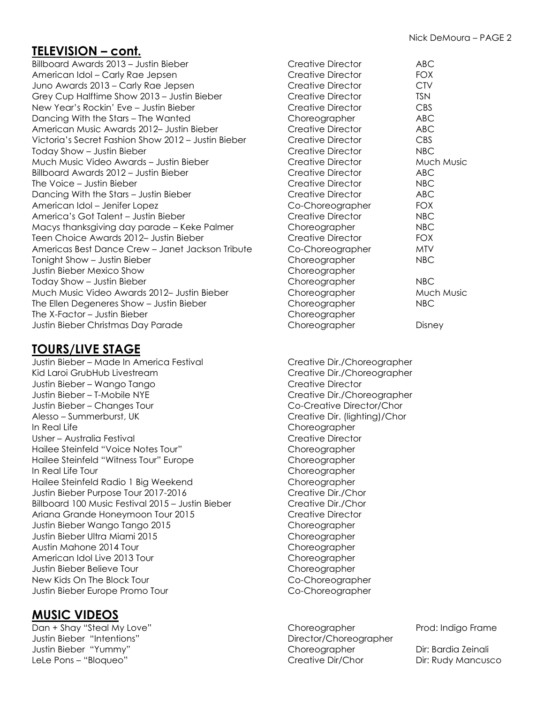# **TELEVISION – cont.**

Billboard Awards 2013 – Justin Bieber American Idol – Carly Rae Jepsen Juno Awards 2013 – Carly Rae Jepsen Grey Cup Halftime Show 2013 – Justin Bieber New Year's Rockin' Eve - Justin Bieber Dancing With the Stars – The Wanted American Music Awards 2012– Justin Bieber Victoria's Secret Fashion Show 2012 – Justin Bieber Today Show – Justin Bieber Much Music Video Awards – Justin Bieber Billboard Awards  $2012 -$  Justin Bieber The Voice – Justin Bieber Dancing With the Stars – Justin Bieber American Idol – Jenifer Lopez America's Got Talent – Justin Bieber Macys thanksgiving day parade – Keke Palmer Teen Choice Awards 2012– Justin Bieber Americas Best Dance Crew – Janet Jackson Tribute Tonight Show – Justin Bieber Justin Bieber Mexico Show Today Show – Justin Bieber Much Music Video Awards 2012- Justin Bieber The Ellen Degeneres Show - Justin Bieber The X-Factor – Justin Bieber Justin Bieber Christmas Day Parade

# **TOURS/LIVE STAGE**

Justin Bieber – Made In America Festival Creative Dir./Choreographer Kid Laroi GrubHub Livestream **Creative Dirtigation** Creative Dirtigation Creative Dirtigation Creative Dirtigation Justin Bieber – Wango Tango Creative Director Justin Bieber – T-Mobile NYE Creative Dir./Choreographer Justin Bieber – Changes Tour Co-Creative Director/Chor Alesso – Summerburst, UK Creative Dir. (lighting)/Chor In Real Life Choreographer Usher – Australia Festival Creative Director Hailee Steinfeld "Voice Notes Tour" Choreographer Hailee Steinfeld "Witness Tour" Europe Choreographer In Real Life Tour Choreographer Hailee Steinfeld Radio 1 Big Weekend Choreographer Justin Bieber Purpose Tour 2017-2016 Creative Dir./Chor Billboard 100 Music Festival 2015 – Justin Bieber Creative Dir./Chor Ariana Grande Honeymoon Tour 2015 Creative Director Justin Bieber Wango Tango 2015 Choreographer Justin Bieber Ultra Miami 2015 Choreographer Austin Mahone 2014 Tour Choreographer American Idol Live 2013 Tour Choreographer Justin Bieber Believe Tour Choreographer New Kids On The Block Tour Co-Choreographer Justin Bieber Europe Promo Tour Communication Co-Choreographer

### **MUSIC VIDEOS**

Dan + Shay "Steal My Love" extended to the Choreographer Prod: Indigo Frame Justin Bieber "Intentions" Director/Choreographer Justin Bieber "Yummy" Choreographer Dir: Bardia Zeinali LeLe Pons – "Bloqueo" Creative Dir/Chor Dir: Rudy Mancusco

| Creative Director        | ABC               |  |
|--------------------------|-------------------|--|
| Creative Director        | <b>FOX</b>        |  |
| Creative Director        | <b>CTV</b>        |  |
| Creative Director        | <b>TSN</b>        |  |
| Creative Director        | <b>CBS</b>        |  |
| Choreographer            | ABC               |  |
| <b>Creative Director</b> | <b>ABC</b>        |  |
| <b>Creative Director</b> | <b>CBS</b>        |  |
| Creative Director        | <b>NBC</b>        |  |
| Creative Director        | Much Music        |  |
| Creative Director        | ABC               |  |
| <b>Creative Director</b> | NBC               |  |
| Creative Director        | <b>ABC</b>        |  |
| Co-Choreographer         | <b>FOX</b>        |  |
| <b>Creative Director</b> | NBC               |  |
| Choreographer            | <b>NBC</b>        |  |
| <b>Creative Director</b> | <b>FOX</b>        |  |
| Co-Choreographer         | MTV               |  |
| Choreographer            | NBC               |  |
| Choreographer            |                   |  |
| Choreographer            | NBC               |  |
| Choreographer            | <b>Much Music</b> |  |
| Choreographer            | NBC               |  |
| Choreographer            |                   |  |
| Choreographer            | Disney            |  |